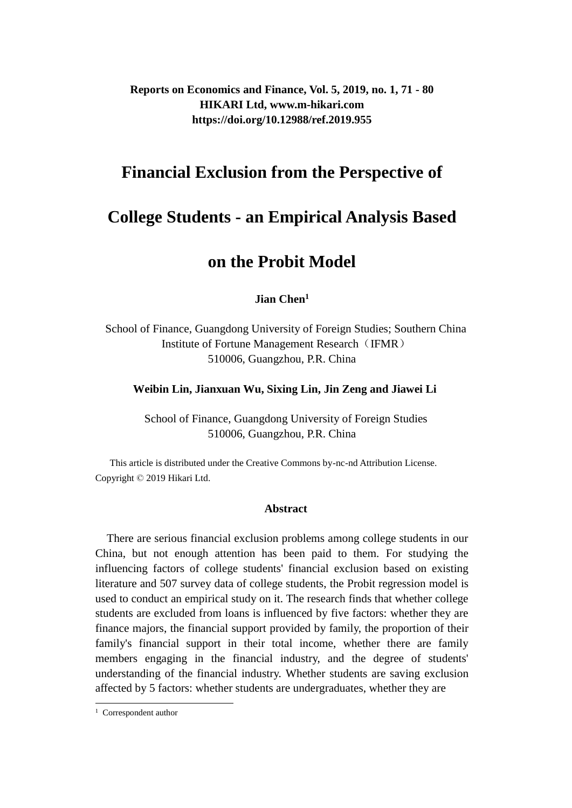**Reports on Economics and Finance, Vol. 5, 2019, no. 1, 71 - 80 HIKARI Ltd, www.m-hikari.com https://doi.org/10.12988/ref.2019.955**

## **Financial Exclusion from the Perspective of**

# **College Students - an Empirical Analysis Based**

# **on the Probit Model**

### **Jian Chen<sup>1</sup>**

School of Finance, Guangdong University of Foreign Studies; Southern China Institute of Fortune Management Research (IFMR) 510006, Guangzhou, P.R. China

#### **Weibin Lin, Jianxuan Wu, Sixing Lin, Jin Zeng and Jiawei Li**

School of Finance, Guangdong University of Foreign Studies 510006, Guangzhou, P.R. China

 This article is distributed under the Creative Commons by-nc-nd Attribution License. Copyright © 2019 Hikari Ltd.

#### **Abstract**

There are serious financial exclusion problems among college students in our China, but not enough attention has been paid to them. For studying the influencing factors of college students' financial exclusion based on existing literature and 507 survey data of college students, the Probit regression model is used to conduct an empirical study on it. The research finds that whether college students are excluded from loans is influenced by five factors: whether they are finance majors, the financial support provided by family, the proportion of their family's financial support in their total income, whether there are family members engaging in the financial industry, and the degree of students' understanding of the financial industry. Whether students are saving exclusion affected by 5 factors: whether students are undergraduates, whether they are

 $\overline{a}$ 

<sup>1</sup> Correspondent author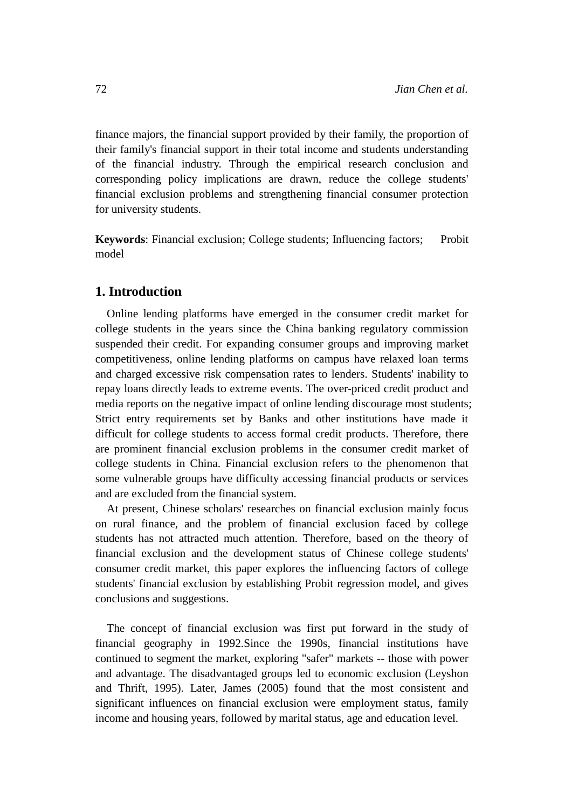finance majors, the financial support provided by their family, the proportion of their family's financial support in their total income and students understanding of the financial industry. Through the empirical research conclusion and corresponding policy implications are drawn, reduce the college students' financial exclusion problems and strengthening financial consumer protection for university students.

**Keywords**: Financial exclusion; College students; Influencing factors; Probit model

## **1. Introduction**

Online lending platforms have emerged in the consumer credit market for college students in the years since the China banking regulatory commission suspended their credit. For expanding consumer groups and improving market competitiveness, online lending platforms on campus have relaxed loan terms and charged excessive risk compensation rates to lenders. Students' inability to repay loans directly leads to extreme events. The over-priced credit product and media reports on the negative impact of online lending discourage most students; Strict entry requirements set by Banks and other institutions have made it difficult for college students to access formal credit products. Therefore, there are prominent financial exclusion problems in the consumer credit market of college students in China. Financial exclusion refers to the phenomenon that some vulnerable groups have difficulty accessing financial products or services and are excluded from the financial system.

At present, Chinese scholars' researches on financial exclusion mainly focus on rural finance, and the problem of financial exclusion faced by college students has not attracted much attention. Therefore, based on the theory of financial exclusion and the development status of Chinese college students' consumer credit market, this paper explores the influencing factors of college students' financial exclusion by establishing Probit regression model, and gives conclusions and suggestions.

The concept of financial exclusion was first put forward in the study of financial geography in 1992.Since the 1990s, financial institutions have continued to segment the market, exploring "safer" markets -- those with power and advantage. The disadvantaged groups led to economic exclusion (Leyshon and Thrift, 1995). Later, James (2005) found that the most consistent and significant influences on financial exclusion were employment status, family income and housing years, followed by marital status, age and education level.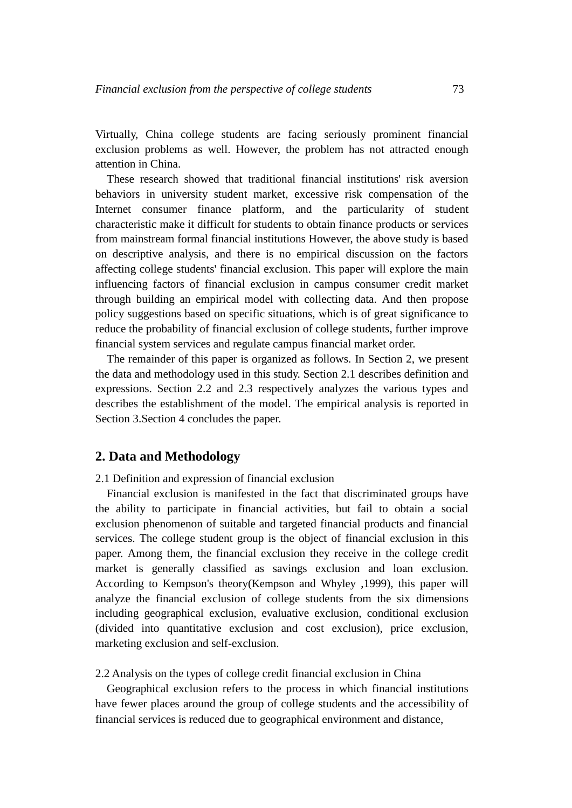Virtually, China college students are facing seriously prominent financial exclusion problems as well. However, the problem has not attracted enough attention in China.

These research showed that traditional financial institutions' risk aversion behaviors in university student market, excessive risk compensation of the Internet consumer finance platform, and the particularity of student characteristic make it difficult for students to obtain finance products or services from mainstream formal financial institutions However, the above study is based on descriptive analysis, and there is no empirical discussion on the factors affecting college students' financial exclusion. This paper will explore the main influencing factors of financial exclusion in campus consumer credit market through building an empirical model with collecting data. And then propose policy suggestions based on specific situations, which is of great significance to reduce the probability of financial exclusion of college students, further improve financial system services and regulate campus financial market order.

The remainder of this paper is organized as follows. In Section 2, we present the data and methodology used in this study. Section 2.1 describes definition and expressions. Section 2.2 and 2.3 respectively analyzes the various types and describes the establishment of the model. The empirical analysis is reported in Section 3.Section 4 concludes the paper.

## **2. Data and Methodology**

2.1 Definition and expression of financial exclusion

Financial exclusion is manifested in the fact that discriminated groups have the ability to participate in financial activities, but fail to obtain a social exclusion phenomenon of suitable and targeted financial products and financial services. The college student group is the object of financial exclusion in this paper. Among them, the financial exclusion they receive in the college credit market is generally classified as savings exclusion and loan exclusion. According to Kempson's theory(Kempson and Whyley ,1999), this paper will analyze the financial exclusion of college students from the six dimensions including geographical exclusion, evaluative exclusion, conditional exclusion (divided into quantitative exclusion and cost exclusion), price exclusion, marketing exclusion and self-exclusion.

2.2 Analysis on the types of college credit financial exclusion in China

Geographical exclusion refers to the process in which financial institutions have fewer places around the group of college students and the accessibility of financial services is reduced due to geographical environment and distance,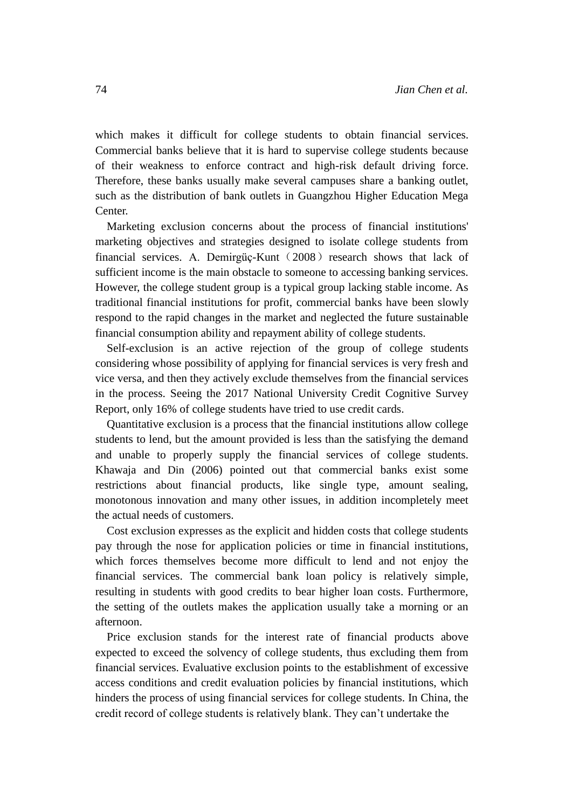which makes it difficult for college students to obtain financial services. Commercial banks believe that it is hard to supervise college students because of their weakness to enforce contract and high-risk default driving force. Therefore, these banks usually make several campuses share a banking outlet, such as the distribution of bank outlets in Guangzhou Higher Education Mega Center.

Marketing exclusion concerns about the process of financial institutions' marketing objectives and strategies designed to isolate college students from financial services. A. Demirgüç-Kunt ( $2008$ ) research shows that lack of sufficient income is the main obstacle to someone to accessing banking services. However, the college student group is a typical group lacking stable income. As traditional financial institutions for profit, commercial banks have been slowly respond to the rapid changes in the market and neglected the future sustainable financial consumption ability and repayment ability of college students.

Self-exclusion is an active rejection of the group of college students considering whose possibility of applying for financial services is very fresh and vice versa, and then they actively exclude themselves from the financial services in the process. Seeing the 2017 National University Credit Cognitive Survey Report, only 16% of college students have tried to use credit cards.

Quantitative exclusion is a process that the financial institutions allow college students to lend, but the amount provided is less than the satisfying the demand and unable to properly supply the financial services of college students. Khawaja and Din (2006) pointed out that commercial banks exist some restrictions about financial products, like single type, amount sealing, monotonous innovation and many other issues, in addition incompletely meet the actual needs of customers.

Cost exclusion expresses as the explicit and hidden costs that college students pay through the nose for application policies or time in financial institutions, which forces themselves become more difficult to lend and not enjoy the financial services. The commercial bank loan policy is relatively simple, resulting in students with good credits to bear higher loan costs. Furthermore, the setting of the outlets makes the application usually take a morning or an afternoon.

Price exclusion stands for the interest rate of financial products above expected to exceed the solvency of college students, thus excluding them from financial services. Evaluative exclusion points to the establishment of excessive access conditions and credit evaluation policies by financial institutions, which hinders the process of using financial services for college students. In China, the credit record of college students is relatively blank. They can't undertake the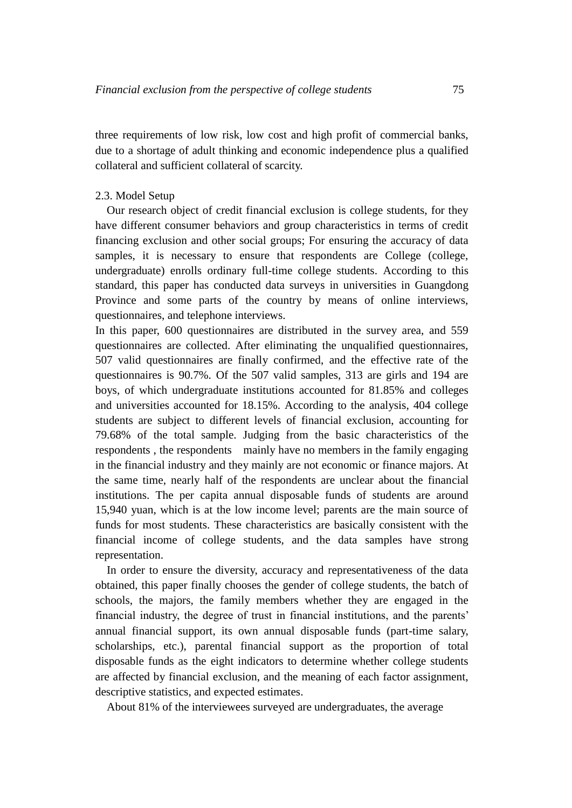three requirements of low risk, low cost and high profit of commercial banks, due to a shortage of adult thinking and economic independence plus a qualified collateral and sufficient collateral of scarcity.

#### 2.3. Model Setup

Our research object of credit financial exclusion is college students, for they have different consumer behaviors and group characteristics in terms of credit financing exclusion and other social groups; For ensuring the accuracy of data samples, it is necessary to ensure that respondents are College (college, undergraduate) enrolls ordinary full-time college students. According to this standard, this paper has conducted data surveys in universities in Guangdong Province and some parts of the country by means of online interviews, questionnaires, and telephone interviews.

In this paper, 600 questionnaires are distributed in the survey area, and 559 questionnaires are collected. After eliminating the unqualified questionnaires, 507 valid questionnaires are finally confirmed, and the effective rate of the questionnaires is 90.7%. Of the 507 valid samples, 313 are girls and 194 are boys, of which undergraduate institutions accounted for 81.85% and colleges and universities accounted for 18.15%. According to the analysis, 404 college students are subject to different levels of financial exclusion, accounting for 79.68% of the total sample. Judging from the basic characteristics of the respondents , the respondents mainly have no members in the family engaging in the financial industry and they mainly are not economic or finance majors. At the same time, nearly half of the respondents are unclear about the financial institutions. The per capita annual disposable funds of students are around 15,940 yuan, which is at the low income level; parents are the main source of funds for most students. These characteristics are basically consistent with the financial income of college students, and the data samples have strong representation.

In order to ensure the diversity, accuracy and representativeness of the data obtained, this paper finally chooses the gender of college students, the batch of schools, the majors, the family members whether they are engaged in the financial industry, the degree of trust in financial institutions, and the parents' annual financial support, its own annual disposable funds (part-time salary, scholarships, etc.), parental financial support as the proportion of total disposable funds as the eight indicators to determine whether college students are affected by financial exclusion, and the meaning of each factor assignment, descriptive statistics, and expected estimates.

About 81% of the interviewees surveyed are undergraduates, the average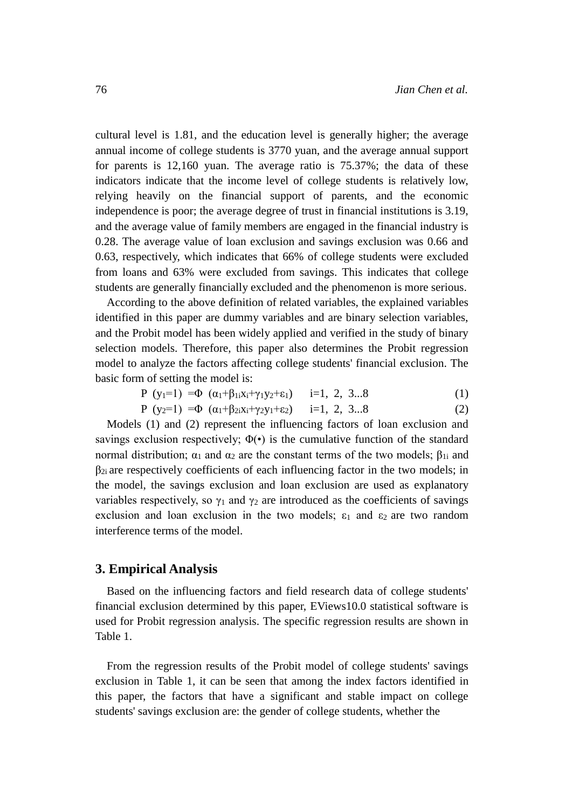cultural level is 1.81, and the education level is generally higher; the average annual income of college students is 3770 yuan, and the average annual support for parents is 12,160 yuan. The average ratio is 75.37%; the data of these indicators indicate that the income level of college students is relatively low, relying heavily on the financial support of parents, and the economic independence is poor; the average degree of trust in financial institutions is 3.19, and the average value of family members are engaged in the financial industry is 0.28. The average value of loan exclusion and savings exclusion was 0.66 and 0.63, respectively, which indicates that 66% of college students were excluded from loans and 63% were excluded from savings. This indicates that college students are generally financially excluded and the phenomenon is more serious.

According to the above definition of related variables, the explained variables identified in this paper are dummy variables and are binary selection variables, and the Probit model has been widely applied and verified in the study of binary selection models. Therefore, this paper also determines the Probit regression model to analyze the factors affecting college students' financial exclusion. The basic form of setting the model is:

$$
P (y1=1) = \Phi (a1+ \beta1x1+ \gamma1y2+ \epsilon1) \t i=1, 2, 3...8 \t (1)
$$

$$
P (y_2=1) = \Phi (a_1 + \beta_{2i}x_1 + \gamma_2y_1 + \epsilon_2) \qquad i=1, 2, 3...8 \qquad (2)
$$

Models (1) and (2) represent the influencing factors of loan exclusion and savings exclusion respectively;  $\Phi(\cdot)$  is the cumulative function of the standard normal distribution;  $α_1$  and  $α_2$  are the constant terms of the two models;  $β_{1i}$  and  $\beta_{2i}$  are respectively coefficients of each influencing factor in the two models; in the model, the savings exclusion and loan exclusion are used as explanatory variables respectively, so  $\gamma_1$  and  $\gamma_2$  are introduced as the coefficients of savings exclusion and loan exclusion in the two models;  $\varepsilon_1$  and  $\varepsilon_2$  are two random interference terms of the model.

#### **3. Empirical Analysis**

Based on the influencing factors and field research data of college students' financial exclusion determined by this paper, EViews10.0 statistical software is used for Probit regression analysis. The specific regression results are shown in Table 1.

From the regression results of the Probit model of college students' savings exclusion in Table 1, it can be seen that among the index factors identified in this paper, the factors that have a significant and stable impact on college students' savings exclusion are: the gender of college students, whether the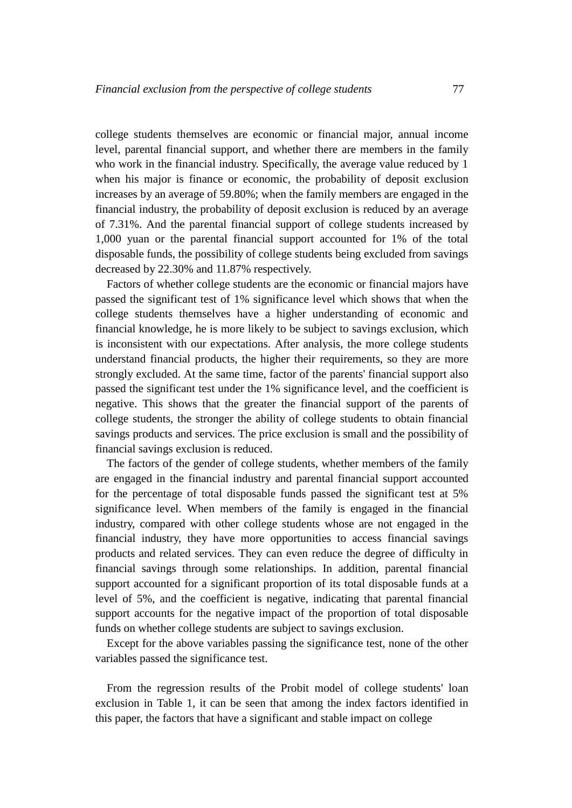college students themselves are economic or financial major, annual income level, parental financial support, and whether there are members in the family who work in the financial industry. Specifically, the average value reduced by 1 when his major is finance or economic, the probability of deposit exclusion increases by an average of 59.80%; when the family members are engaged in the financial industry, the probability of deposit exclusion is reduced by an average of 7.31%. And the parental financial support of college students increased by 1,000 yuan or the parental financial support accounted for 1% of the total disposable funds, the possibility of college students being excluded from savings decreased by 22.30% and 11.87% respectively.

Factors of whether college students are the economic or financial majors have passed the significant test of 1% significance level which shows that when the college students themselves have a higher understanding of economic and financial knowledge, he is more likely to be subject to savings exclusion, which is inconsistent with our expectations. After analysis, the more college students understand financial products, the higher their requirements, so they are more strongly excluded. At the same time, factor of the parents' financial support also passed the significant test under the 1% significance level, and the coefficient is negative. This shows that the greater the financial support of the parents of college students, the stronger the ability of college students to obtain financial savings products and services. The price exclusion is small and the possibility of financial savings exclusion is reduced.

The factors of the gender of college students, whether members of the family are engaged in the financial industry and parental financial support accounted for the percentage of total disposable funds passed the significant test at 5% significance level. When members of the family is engaged in the financial industry, compared with other college students whose are not engaged in the financial industry, they have more opportunities to access financial savings products and related services. They can even reduce the degree of difficulty in financial savings through some relationships. In addition, parental financial support accounted for a significant proportion of its total disposable funds at a level of 5%, and the coefficient is negative, indicating that parental financial support accounts for the negative impact of the proportion of total disposable funds on whether college students are subject to savings exclusion.

Except for the above variables passing the significance test, none of the other variables passed the significance test.

From the regression results of the Probit model of college students' loan exclusion in Table 1, it can be seen that among the index factors identified in this paper, the factors that have a significant and stable impact on college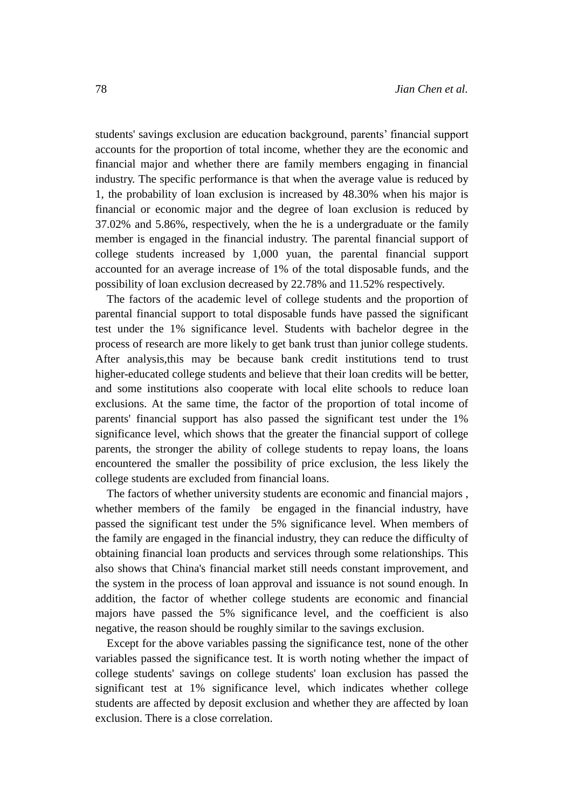students' savings exclusion are education background, parents' financial support accounts for the proportion of total income, whether they are the economic and financial major and whether there are family members engaging in financial industry. The specific performance is that when the average value is reduced by 1, the probability of loan exclusion is increased by 48.30% when his major is financial or economic major and the degree of loan exclusion is reduced by 37.02% and 5.86%, respectively, when the he is a undergraduate or the family member is engaged in the financial industry. The parental financial support of college students increased by 1,000 yuan, the parental financial support accounted for an average increase of 1% of the total disposable funds, and the possibility of loan exclusion decreased by 22.78% and 11.52% respectively.

The factors of the academic level of college students and the proportion of parental financial support to total disposable funds have passed the significant test under the 1% significance level. Students with bachelor degree in the process of research are more likely to get bank trust than junior college students. After analysis,this may be because bank credit institutions tend to trust higher-educated college students and believe that their loan credits will be better, and some institutions also cooperate with local elite schools to reduce loan exclusions. At the same time, the factor of the proportion of total income of parents' financial support has also passed the significant test under the 1% significance level, which shows that the greater the financial support of college parents, the stronger the ability of college students to repay loans, the loans encountered the smaller the possibility of price exclusion, the less likely the college students are excluded from financial loans.

The factors of whether university students are economic and financial majors , whether members of the family be engaged in the financial industry, have passed the significant test under the 5% significance level. When members of the family are engaged in the financial industry, they can reduce the difficulty of obtaining financial loan products and services through some relationships. This also shows that China's financial market still needs constant improvement, and the system in the process of loan approval and issuance is not sound enough. In addition, the factor of whether college students are economic and financial majors have passed the 5% significance level, and the coefficient is also negative, the reason should be roughly similar to the savings exclusion.

Except for the above variables passing the significance test, none of the other variables passed the significance test. It is worth noting whether the impact of college students' savings on college students' loan exclusion has passed the significant test at 1% significance level, which indicates whether college students are affected by deposit exclusion and whether they are affected by loan exclusion. There is a close correlation.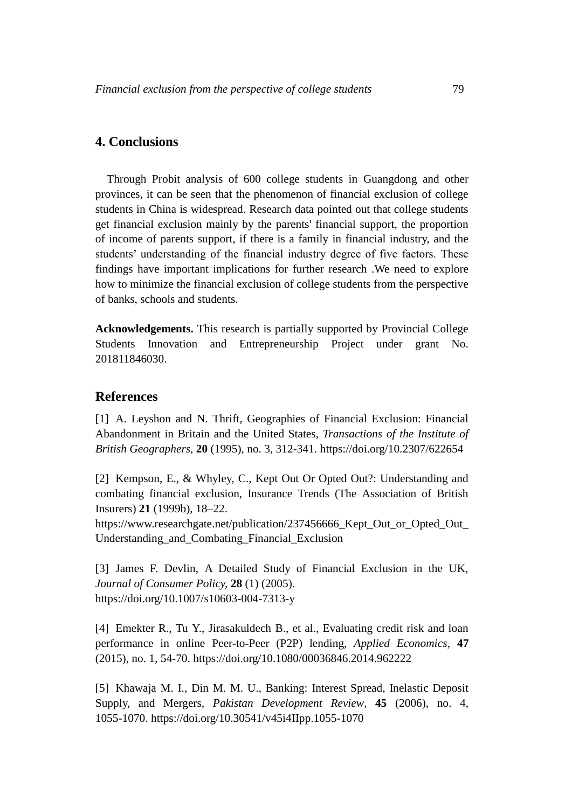## **4. Conclusions**

Through Probit analysis of 600 college students in Guangdong and other provinces, it can be seen that the phenomenon of financial exclusion of college students in China is widespread. Research data pointed out that college students get financial exclusion mainly by the parents' financial support, the proportion of income of parents support, if there is a family in financial industry, and the students' understanding of the financial industry degree of five factors. These findings have important implications for further research .We need to explore how to minimize the financial exclusion of college students from the perspective of banks, schools and students.

**Acknowledgements.** This research is partially supported by Provincial College Students Innovation and Entrepreneurship Project under grant No. 201811846030.

### **References**

[1] A. Leyshon and N. Thrift, Geographies of Financial Exclusion: Financial Abandonment in Britain and the United States, *Transactions of the Institute of British Geographers,* **20** (1995), no. 3, 312-341. https://doi.org/10.2307/622654

[2] Kempson, E., & Whyley, C., Kept Out Or Opted Out?: Understanding and combating financial exclusion, Insurance Trends (The Association of British Insurers) **21** (1999b), 18–22.

https://www.researchgate.net/publication/237456666\_Kept\_Out\_or\_Opted\_Out\_ Understanding\_and\_Combating\_Financial\_Exclusion

[3] James F. Devlin, A Detailed Study of Financial Exclusion in the UK, *Journal of Consumer Policy,* **28** (1) (2005). https://doi.org/10.1007/s10603-004-7313-y

[4] Emekter R., Tu Y., Jirasakuldech B., et al., Evaluating credit risk and loan performance in online Peer-to-Peer (P2P) lending, *Applied Economics,* **47** (2015), no. 1, 54-70. https://doi.org/10.1080/00036846.2014.962222

[5] Khawaja M. I., Din M. M. U., Banking: Interest Spread, Inelastic Deposit Supply, and Mergers, *Pakistan Development Review*, **45** (2006), no. 4, 1055-1070.<https://doi.org/10.30541/v45i4IIpp.1055-1070>